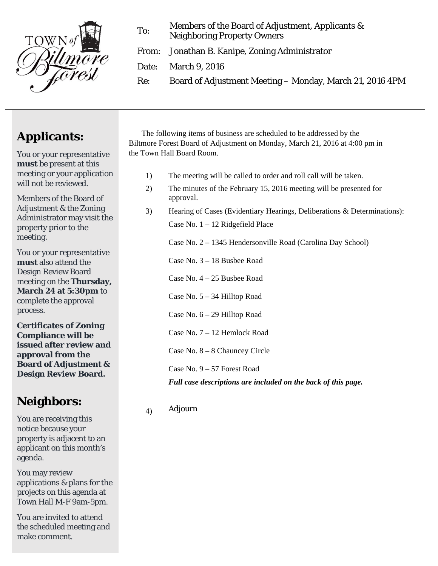

To: Members of the Board of Adjustment, Applicants & Neighboring Property Owners

From: Jonathan B. Kanipe, Zoning Administrator

Date: March 9, 2016

Re: Board of Adjustment Meeting – Monday, March 21, 2016 4PM

## **Applicants:**

You or your representative **must** be present at this meeting or your application will not be reviewed.

Members of the Board of Adjustment & the Zoning Administrator may visit the property prior to the meeting.

You or your representative **must** also attend the Design Review Board meeting on the **Thursday, March 24 at 5:30pm** to complete the approval process.

**Certificates of Zoning Compliance will be issued after review and approval from the Board of Adjustment & Design Review Board.** 

## **Neighbors:**

You are receiving this notice because your property is adjacent to an applicant on this month's agenda.

You may review applications & plans for the projects on this agenda at Town Hall M-F 9am-5pm.

You are invited to attend the scheduled meeting and make comment.

The following items of business are scheduled to be addressed by the Biltmore Forest Board of Adjustment on Monday, March 21, 2016 at 4:00 pm in the Town Hall Board Room.

- 1) The meeting will be called to order and roll call will be taken.
- 2) The minutes of the February 15, 2016 meeting will be presented for approval.
- 3) Hearing of Cases (Evidentiary Hearings, Deliberations & Determinations): Case No. 1 – 12 Ridgefield Place

Case No. 2 – 1345 Hendersonville Road (Carolina Day School)

Case No. 3 – 18 Busbee Road

Case No. 4 – 25 Busbee Road

Case No. 5 – 34 Hilltop Road

Case No. 6 – 29 Hilltop Road

Case No. 7 – 12 Hemlock Road

Case No. 8 – 8 Chauncey Circle

Case No. 9 – 57 Forest Road

*Full case descriptions are included on the back of this page.* 

## 4) Adjourn